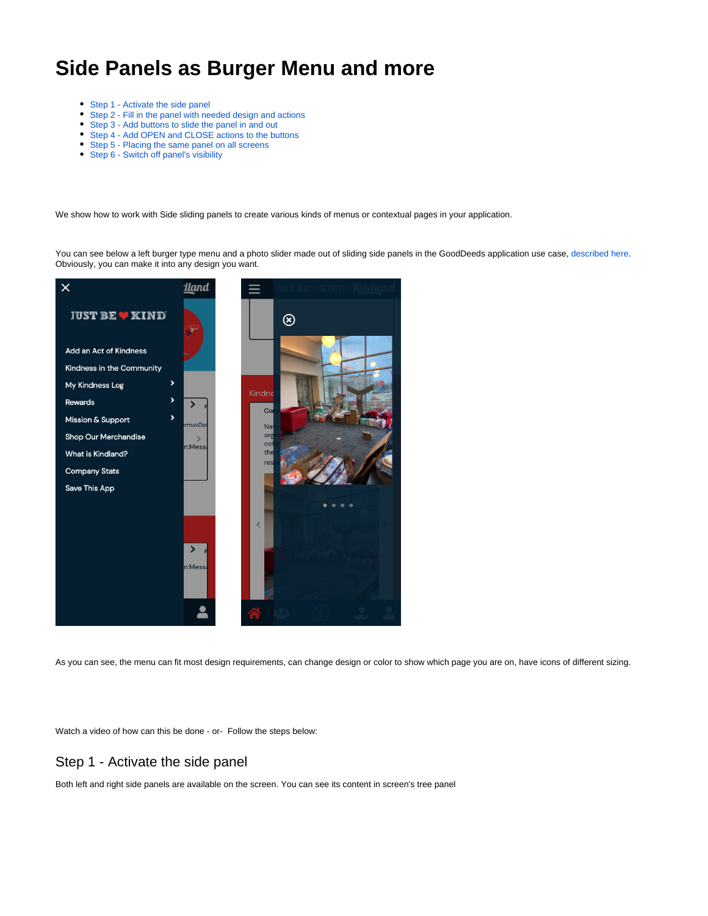# **Side Panels as Burger Menu and more**

- [Step 1 Activate the side panel](#page-0-0)
- $\bullet$ [Step 2 - Fill in the panel with needed design and actions](#page-1-0)
- [Step 3 Add buttons to slide the panel in and out](#page-2-0)
- [Step 4 Add OPEN and CLOSE actions to the buttons](#page-3-0)
- [Step 5 Placing the same panel on all screens](#page-4-0)
- [Step 6 Switch off panel's visibility](#page-5-0)

We show how to work with Side sliding panels to create various kinds of menus or contextual pages in your application.

You can see below a left burger type menu and a photo slider made out of sliding side panels in the GoodDeeds application use case, [described here.](https://mobsted.com/case/gooddeeds_worldsynergy) Obviously, you can make it into any design you want.



As you can see, the menu can fit most design requirements, can change design or color to show which page you are on, have icons of different sizing.

Watch a video of how can this be done - or- Follow the steps below:

### <span id="page-0-0"></span>Step 1 - Activate the side panel

Both left and right side panels are available on the screen. You can see its content in screen's tree panel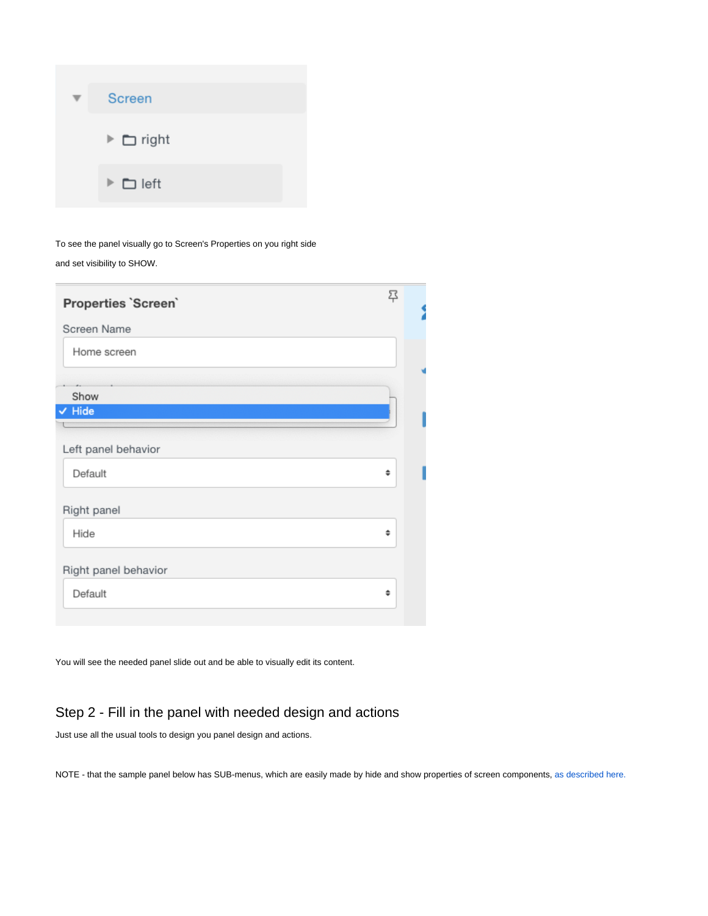| <b>Screen</b>                 |
|-------------------------------|
| $\triangleright$ $\Box$ right |
| $\triangleright$ $\Box$ left  |

To see the panel visually go to Screen's Properties on you right side and set visibility to SHOW.

| Properties 'Screen'  | 翆 |  |
|----------------------|---|--|
| Screen Name          |   |  |
| Home screen          |   |  |
|                      |   |  |
| Show                 |   |  |
| $\vee$ Hide          |   |  |
|                      |   |  |
| Left panel behavior  |   |  |
| Default              | ÷ |  |
| Right panel          |   |  |
| Hide                 | ÷ |  |
| Right panel behavior |   |  |
| Default              | ÷ |  |
|                      |   |  |

You will see the needed panel slide out and be able to visually edit its content.

## <span id="page-1-0"></span>Step 2 - Fill in the panel with needed design and actions

Just use all the usual tools to design you panel design and actions.

NOTE - that the sample panel below has SUB-menus, which are easily made by hide and show properties of screen components, [as described here.](https://docs.mobsted.com/display/KB/Hide+and+Show+Screen+Elements)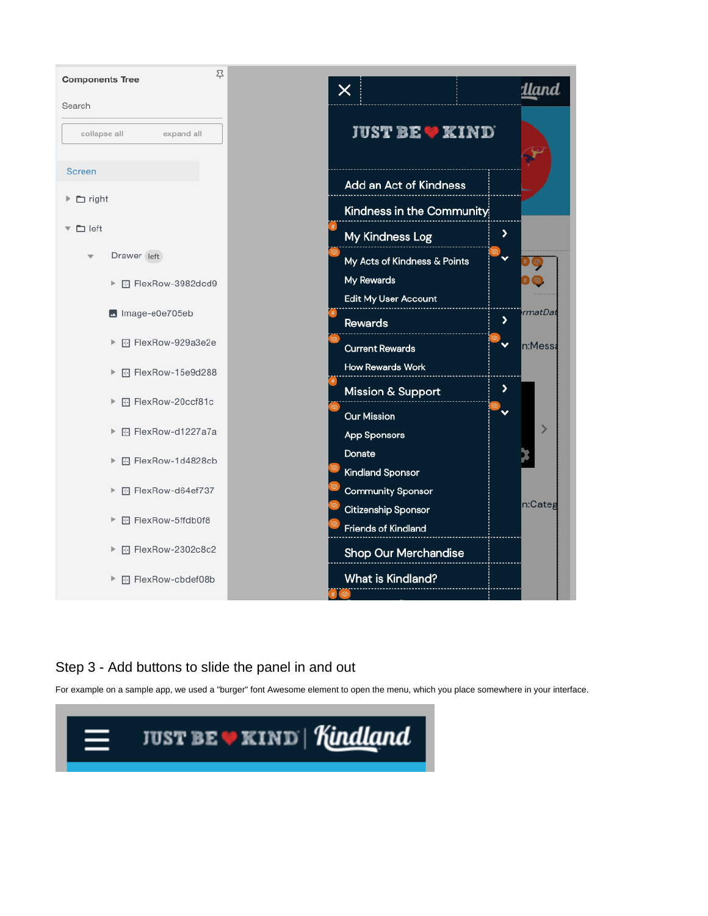

## <span id="page-2-0"></span>Step 3 - Add buttons to slide the panel in and out

For example on a sample app, we used a "burger" font Awesome element to open the menu, which you place somewhere in your interface.

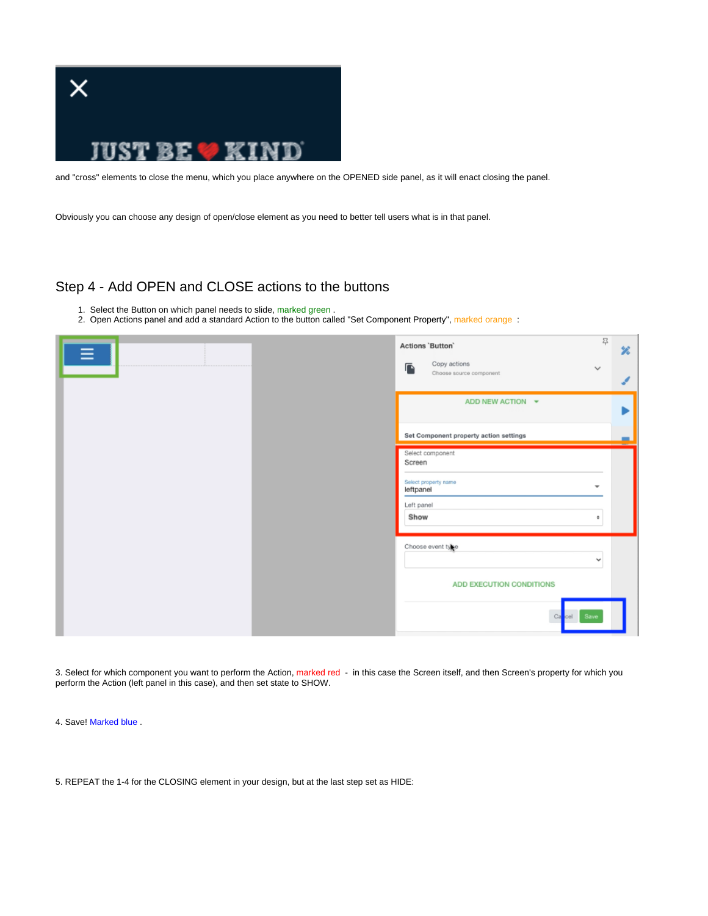

and "cross" elements to close the menu, which you place anywhere on the OPENED side panel, as it will enact closing the panel.

Obviously you can choose any design of open/close element as you need to better tell users what is in that panel.

### <span id="page-3-0"></span>Step 4 - Add OPEN and CLOSE actions to the buttons

- 1. Select the Button on which panel needs to slide, marked green.
- 2. Open Actions panel and add a standard Action to the button called "Set Component Property", marked orange :

| ≡ | 묚<br>Actions 'Button'<br>罢                                                                                             |
|---|------------------------------------------------------------------------------------------------------------------------|
|   | Copy actions<br>$\mathbf{r}$<br>$\checkmark$<br>Choose source component                                                |
|   | ADD NEW ACTION $\blacktriangleright$                                                                                   |
|   | Set Component property action settings                                                                                 |
|   | Select component<br>Screen<br>Select property name<br>$\overline{\phantom{a}}$<br>leftpanel<br>Left panel<br>Show<br>٠ |
|   | Choose event type<br>$\checkmark$<br>ADD EXECUTION CONDITIONS<br>Ca<br>Save<br>cel                                     |

3. Select for which component you want to perform the Action, marked red - in this case the Screen itself, and then Screen's property for which you perform the Action (left panel in this case), and then set state to SHOW.

4. Save! Marked blue .

5. REPEAT the 1-4 for the CLOSING element in your design, but at the last step set as HIDE: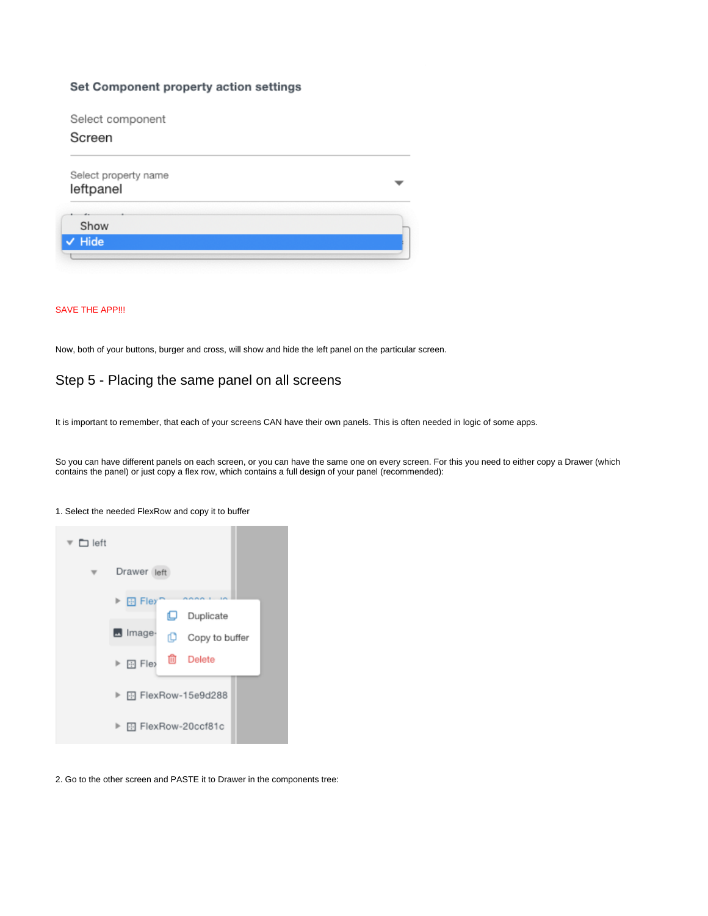#### Set Component property action settings

Select component

#### Screen

| Select property name<br>leftpanel |  |
|-----------------------------------|--|
| Show                              |  |
| $\vee$ Hide                       |  |

#### SAVE THE APP!!!

Now, both of your buttons, burger and cross, will show and hide the left panel on the particular screen.

### <span id="page-4-0"></span>Step 5 - Placing the same panel on all screens

It is important to remember, that each of your screens CAN have their own panels. This is often needed in logic of some apps.

So you can have different panels on each screen, or you can have the same one on every screen. For this you need to either copy a Drawer (which contains the panel) or just copy a flex row, which contains a full design of your panel (recommended):



#### 1. Select the needed FlexRow and copy it to buffer

2. Go to the other screen and PASTE it to Drawer in the components tree: